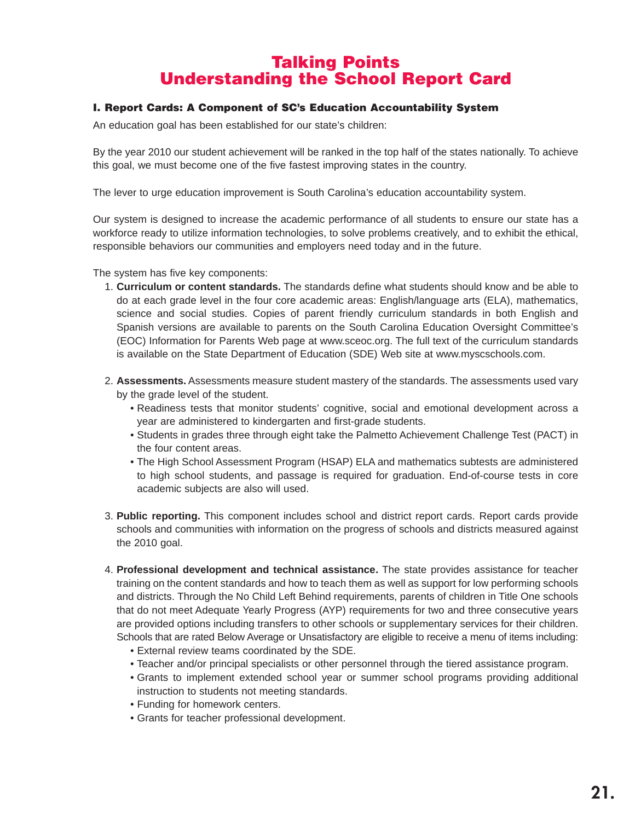# **Talking Points Understanding the School Report Card**

## **I. Report Cards: A Component of SC's Education Accountability System**

An education goal has been established for our state's children:

By the year 2010 our student achievement will be ranked in the top half of the states nationally. To achieve this goal, we must become one of the five fastest improving states in the country.

The lever to urge education improvement is South Carolina's education accountability system.

Our system is designed to increase the academic performance of all students to ensure our state has a workforce ready to utilize information technologies, to solve problems creatively, and to exhibit the ethical, responsible behaviors our communities and employers need today and in the future.

The system has five key components:

- 1. **Curriculum or content standards.** The standards define what students should know and be able to do at each grade level in the four core academic areas: English/language arts (ELA), mathematics, science and social studies. Copies of parent friendly curriculum standards in both English and Spanish versions are available to parents on the South Carolina Education Oversight Committee's (EOC) Information for Parents Web page at www.sceoc.org. The full text of the curriculum standards is available on the State Department of Education (SDE) Web site at www.myscschools.com.
- 2. **Assessments.** Assessments measure student mastery of the standards. The assessments used vary by the grade level of the student.
	- Readiness tests that monitor students' cognitive, social and emotional development across a year are administered to kindergarten and first-grade students.
	- Students in grades three through eight take the Palmetto Achievement Challenge Test (PACT) in the four content areas.
	- The High School Assessment Program (HSAP) ELA and mathematics subtests are administered to high school students, and passage is required for graduation. End-of-course tests in core academic subjects are also will used.
- 3. **Public reporting.** This component includes school and district report cards. Report cards provide schools and communities with information on the progress of schools and districts measured against the 2010 goal.
- 4. **Professional development and technical assistance.** The state provides assistance for teacher training on the content standards and how to teach them as well as support for low performing schools and districts. Through the No Child Left Behind requirements, parents of children in Title One schools that do not meet Adequate Yearly Progress (AYP) requirements for two and three consecutive years are provided options including transfers to other schools or supplementary services for their children. Schools that are rated Below Average or Unsatisfactory are eligible to receive a menu of items including:
	- External review teams coordinated by the SDE.
	- Teacher and/or principal specialists or other personnel through the tiered assistance program.
	- Grants to implement extended school year or summer school programs providing additional instruction to students not meeting standards.
	- Funding for homework centers.
	- Grants for teacher professional development.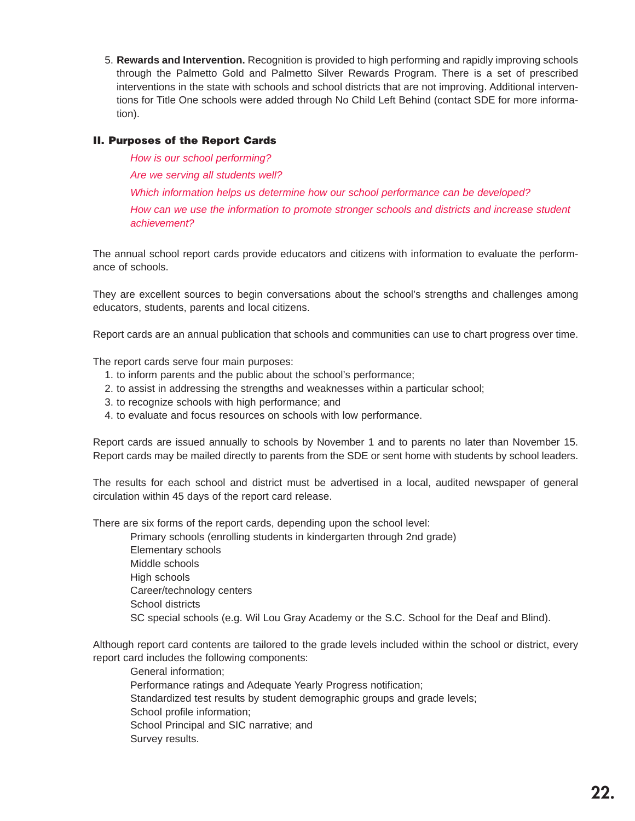5. **Rewards and Intervention.** Recognition is provided to high performing and rapidly improving schools through the Palmetto Gold and Palmetto Silver Rewards Program. There is a set of prescribed interventions in the state with schools and school districts that are not improving. Additional interventions for Title One schools were added through No Child Left Behind (contact SDE for more information).

# **II. Purposes of the Report Cards**

How is our school performing? Are we serving all students well? Which information helps us determine how our school performance can be developed? How can we use the information to promote stronger schools and districts and increase student achievement?

The annual school report cards provide educators and citizens with information to evaluate the performance of schools.

They are excellent sources to begin conversations about the school's strengths and challenges among educators, students, parents and local citizens.

Report cards are an annual publication that schools and communities can use to chart progress over time.

The report cards serve four main purposes:

- 1. to inform parents and the public about the school's performance;
- 2. to assist in addressing the strengths and weaknesses within a particular school;
- 3. to recognize schools with high performance; and
- 4. to evaluate and focus resources on schools with low performance.

Report cards are issued annually to schools by November 1 and to parents no later than November 15. Report cards may be mailed directly to parents from the SDE or sent home with students by school leaders.

The results for each school and district must be advertised in a local, audited newspaper of general circulation within 45 days of the report card release.

There are six forms of the report cards, depending upon the school level:

Primary schools (enrolling students in kindergarten through 2nd grade) Elementary schools Middle schools High schools Career/technology centers School districts SC special schools (e.g. Wil Lou Gray Academy or the S.C. School for the Deaf and Blind).

Although report card contents are tailored to the grade levels included within the school or district, every report card includes the following components:

General information; Performance ratings and Adequate Yearly Progress notification; Standardized test results by student demographic groups and grade levels; School profile information; School Principal and SIC narrative; and Survey results.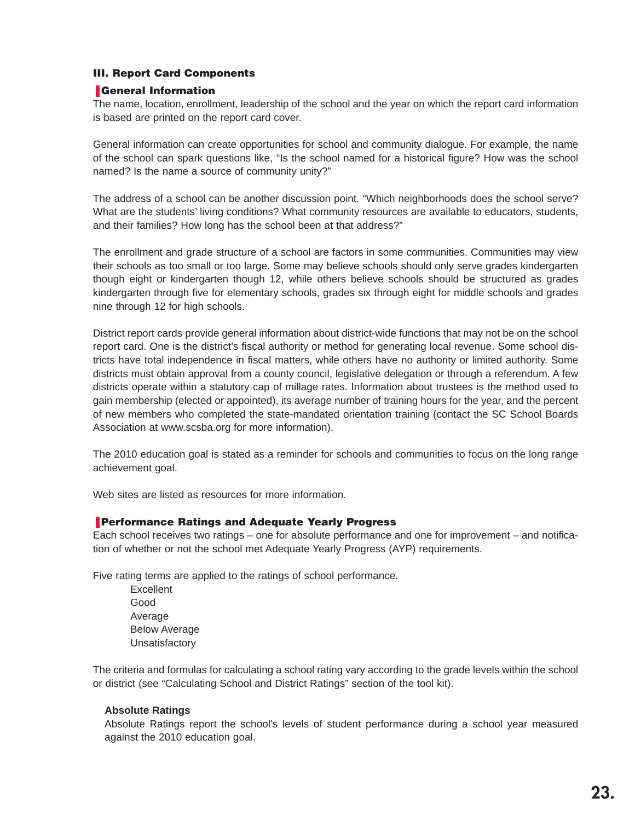# **III. Report Card Components**

## ❚ **General Information**

The name, location, enrollment, leadership of the school and the year on which the report card information is based are printed on the report card cover.

General information can create opportunities for school and community dialogue. For example, the name of the school can spark questions like, "Is the school named for a historical figure? How was the school named? Is the name a source of community unity?"

The address of a school can be another discussion point. "Which neighborhoods does the school serve? What are the students' living conditions? What community resources are available to educators, students, and their families? How long has the school been at that address?"

The enrollment and grade structure of a school are factors in some communities. Communities may view their schools as too small or too large. Some may believe schools should only serve grades kindergarten though eight or kindergarten though 12, while others believe schools should be structured as grades kindergarten through five for elementary schools, grades six through eight for middle schools and grades nine through 12 for high schools.

District report cards provide general information about district-wide functions that may not be on the school report card. One is the district's fiscal authority or method for generating local revenue. Some school districts have total independence in fiscal matters, while others have no authority or limited authority. Some districts must obtain approval from a county council, legislative delegation or through a referendum. A few districts operate within a statutory cap of millage rates. Information about trustees is the method used to gain membership (elected or appointed), its average number of training hours for the year, and the percent of new members who completed the state-mandated orientation training (contact the SC School Boards Association at www.scsba.org for more information).

The 2010 education goal is stated as a reminder for schools and communities to focus on the long range achievement goal.

Web sites are listed as resources for more information.

## ❚ **Performance Ratings and Adequate Yearly Progress**

Each school receives two ratings – one for absolute performance and one for improvement – and notification of whether or not the school met Adequate Yearly Progress (AYP) requirements.

Five rating terms are applied to the ratings of school performance.

**Excellent** Good Average Below Average Unsatisfactory

The criteria and formulas for calculating a school rating vary according to the grade levels within the school or district (see "Calculating School and District Ratings" section of the tool kit).

#### **Absolute Ratings**

Absolute Ratings report the school's levels of student performance during a school year measured against the 2010 education goal.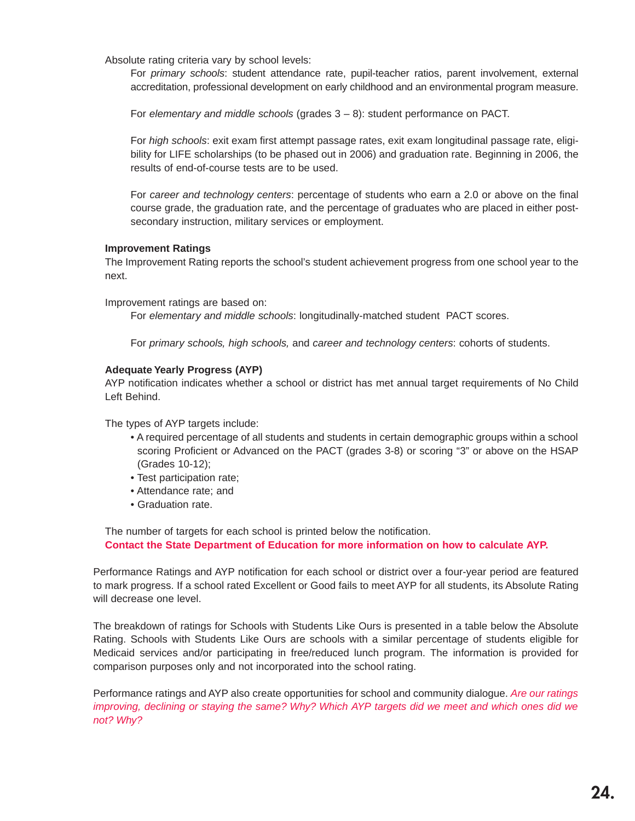Absolute rating criteria vary by school levels:

For primary schools: student attendance rate, pupil-teacher ratios, parent involvement, external accreditation, professional development on early childhood and an environmental program measure.

For elementary and middle schools (grades  $3 - 8$ ): student performance on PACT.

For high schools: exit exam first attempt passage rates, exit exam longitudinal passage rate, eligibility for LIFE scholarships (to be phased out in 2006) and graduation rate. Beginning in 2006, the results of end-of-course tests are to be used.

For career and technology centers: percentage of students who earn a 2.0 or above on the final course grade, the graduation rate, and the percentage of graduates who are placed in either postsecondary instruction, military services or employment.

#### **Improvement Ratings**

The Improvement Rating reports the school's student achievement progress from one school year to the next.

Improvement ratings are based on:

For elementary and middle schools: longitudinally-matched student PACT scores.

For primary schools, high schools, and career and technology centers: cohorts of students.

#### **Adequate Yearly Progress (AYP)**

AYP notification indicates whether a school or district has met annual target requirements of No Child Left Behind.

The types of AYP targets include:

- A required percentage of all students and students in certain demographic groups within a school scoring Proficient or Advanced on the PACT (grades 3-8) or scoring "3" or above on the HSAP (Grades 10-12);
- Test participation rate;
- Attendance rate; and
- Graduation rate.

The number of targets for each school is printed below the notification. **Contact the State Department of Education for more information on how to calculate AYP.**

Performance Ratings and AYP notification for each school or district over a four-year period are featured to mark progress. If a school rated Excellent or Good fails to meet AYP for all students, its Absolute Rating will decrease one level.

The breakdown of ratings for Schools with Students Like Ours is presented in a table below the Absolute Rating. Schools with Students Like Ours are schools with a similar percentage of students eligible for Medicaid services and/or participating in free/reduced lunch program. The information is provided for comparison purposes only and not incorporated into the school rating.

Performance ratings and AYP also create opportunities for school and community dialogue. Are our ratings improving, declining or staying the same? Why? Which AYP targets did we meet and which ones did we not? Why?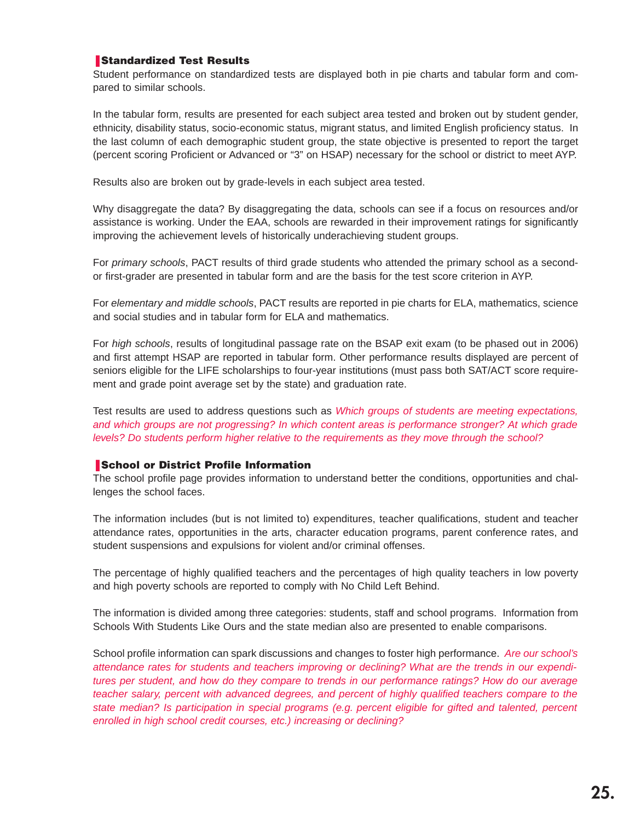## ❚ **Standardized Test Results**

Student performance on standardized tests are displayed both in pie charts and tabular form and compared to similar schools.

In the tabular form, results are presented for each subject area tested and broken out by student gender, ethnicity, disability status, socio-economic status, migrant status, and limited English proficiency status. In the last column of each demographic student group, the state objective is presented to report the target (percent scoring Proficient or Advanced or "3" on HSAP) necessary for the school or district to meet AYP.

Results also are broken out by grade-levels in each subject area tested.

Why disaggregate the data? By disaggregating the data, schools can see if a focus on resources and/or assistance is working. Under the EAA, schools are rewarded in their improvement ratings for significantly improving the achievement levels of historically underachieving student groups.

For primary schools, PACT results of third grade students who attended the primary school as a secondor first-grader are presented in tabular form and are the basis for the test score criterion in AYP.

For elementary and middle schools, PACT results are reported in pie charts for ELA, mathematics, science and social studies and in tabular form for ELA and mathematics.

For high schools, results of longitudinal passage rate on the BSAP exit exam (to be phased out in 2006) and first attempt HSAP are reported in tabular form. Other performance results displayed are percent of seniors eligible for the LIFE scholarships to four-year institutions (must pass both SAT/ACT score requirement and grade point average set by the state) and graduation rate.

Test results are used to address questions such as Which groups of students are meeting expectations, and which groups are not progressing? In which content areas is performance stronger? At which grade levels? Do students perform higher relative to the requirements as they move through the school?

#### ❚ **School or District Profile Information**

The school profile page provides information to understand better the conditions, opportunities and challenges the school faces.

The information includes (but is not limited to) expenditures, teacher qualifications, student and teacher attendance rates, opportunities in the arts, character education programs, parent conference rates, and student suspensions and expulsions for violent and/or criminal offenses.

The percentage of highly qualified teachers and the percentages of high quality teachers in low poverty and high poverty schools are reported to comply with No Child Left Behind.

The information is divided among three categories: students, staff and school programs. Information from Schools With Students Like Ours and the state median also are presented to enable comparisons.

School profile information can spark discussions and changes to foster high performance. Are our school's attendance rates for students and teachers improving or declining? What are the trends in our expenditures per student, and how do they compare to trends in our performance ratings? How do our average teacher salary, percent with advanced degrees, and percent of highly qualified teachers compare to the state median? Is participation in special programs (e.g. percent eligible for gifted and talented, percent enrolled in high school credit courses, etc.) increasing or declining?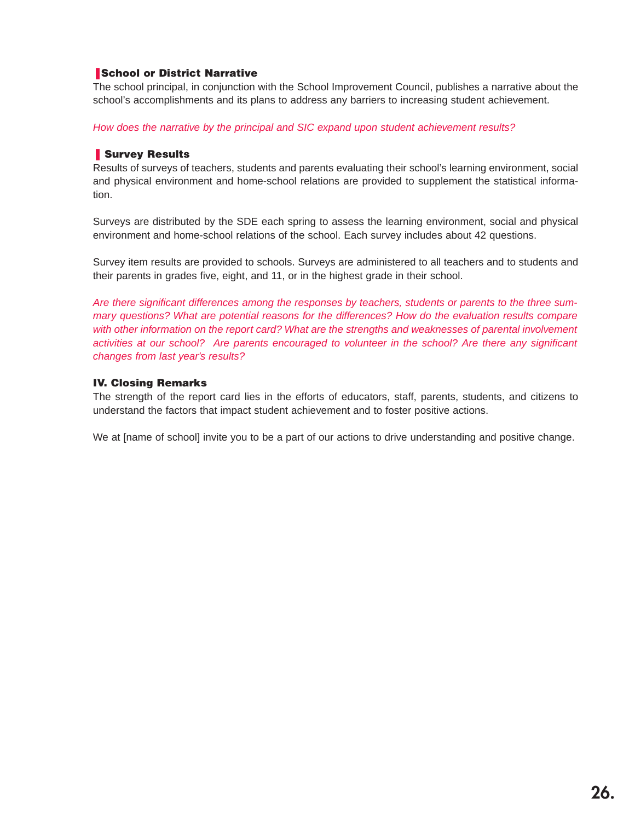## ❚ **School or District Narrative**

The school principal, in conjunction with the School Improvement Council, publishes a narrative about the school's accomplishments and its plans to address any barriers to increasing student achievement.

How does the narrative by the principal and SIC expand upon student achievement results?

#### ❚ **Survey Results**

Results of surveys of teachers, students and parents evaluating their school's learning environment, social and physical environment and home-school relations are provided to supplement the statistical information.

Surveys are distributed by the SDE each spring to assess the learning environment, social and physical environment and home-school relations of the school. Each survey includes about 42 questions.

Survey item results are provided to schools. Surveys are administered to all teachers and to students and their parents in grades five, eight, and 11, or in the highest grade in their school.

Are there significant differences among the responses by teachers, students or parents to the three summary questions? What are potential reasons for the differences? How do the evaluation results compare with other information on the report card? What are the strengths and weaknesses of parental involvement activities at our school? Are parents encouraged to volunteer in the school? Are there any significant changes from last year's results?

# **IV. Closing Remarks**

The strength of the report card lies in the efforts of educators, staff, parents, students, and citizens to understand the factors that impact student achievement and to foster positive actions.

We at [name of school] invite you to be a part of our actions to drive understanding and positive change.